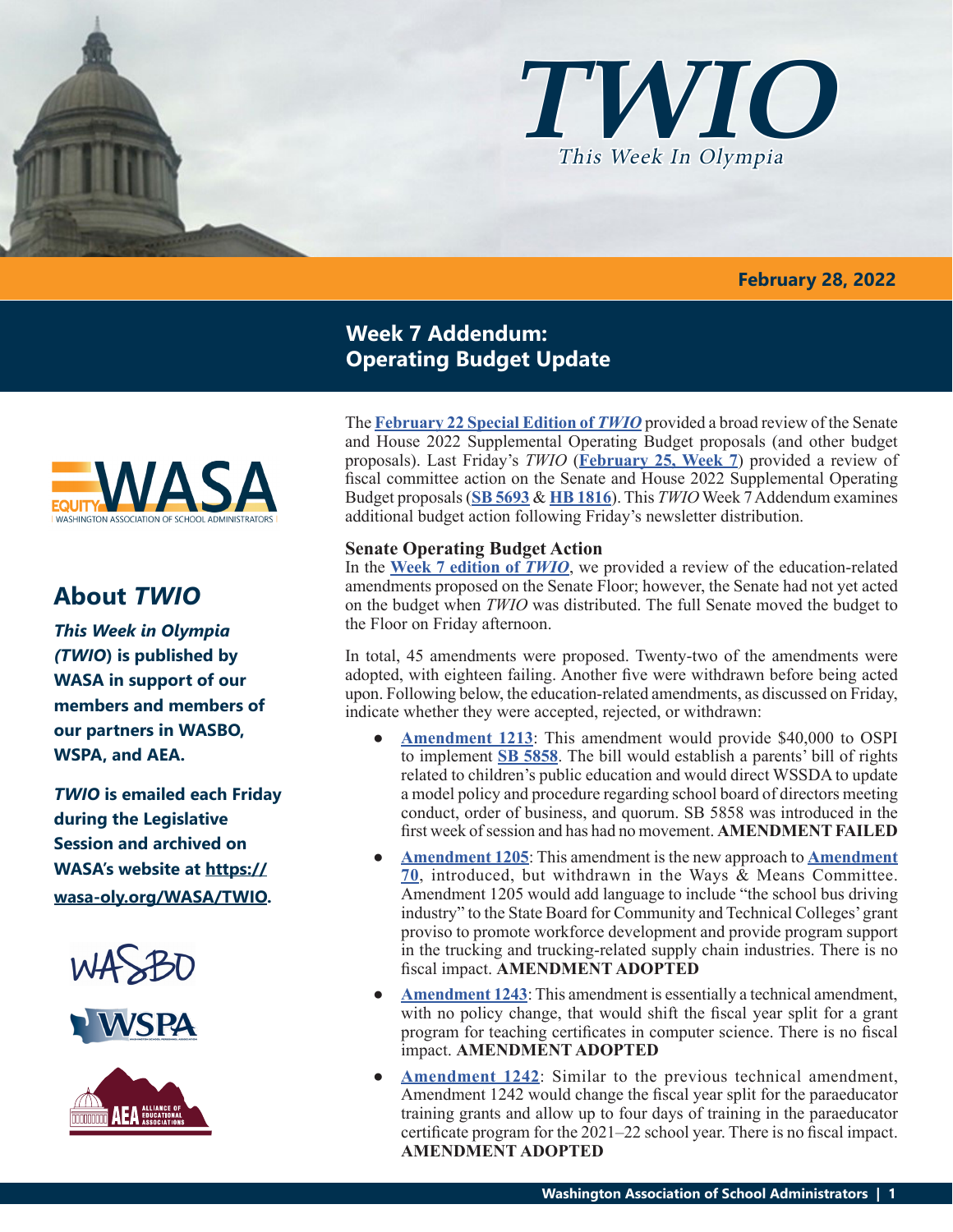

### **February 28, 2022**

## **Week 7 Addendum: Operating Budget Update**

The **February [22 Special Edition of](https://wasa-oly.org/WASA/images/WASA/4.0 Government Relations/4.4.1 This Week In Olympia - TWIO/Download_Files/TWIO 2022/Special Edition-SenandHse 2022 Sup Budget Pros.pdf)** *TWIO* provided a broad review of the Senate and House 2022 Supplemental Operating Budget proposals (and other budget proposals). Last Friday's *TWIO* (**[February 25, Week 7](https://wasa-oly.org/WASA/images/WASA/4.0 Government Relations/4.4.1 This Week In Olympia - TWIO/Download_Files/TWIO 2022/Week 7.pdf)**) provided a review of fiscal committee action on the Senate and House 2022 Supplemental Operating Budget proposals (**[SB 5693](http://leap.leg.wa.gov/leap/budget/detail/2022/so2022Supp.asp)** & **[HB 1816](http://leap.leg.wa.gov/leap/budget/detail/2022/ho2022Supp.asp)**). This *TWIO* Week 7 Addendum examines additional budget action following Friday's newsletter distribution.

## **Senate Operating Budget Action**

In the **[Week 7 edition of](https://wasa-oly.org/WASA/images/WASA/4.0 Government Relations/4.4.1 This Week In Olympia - TWIO/Download_Files/TWIO 2022/Week 7.pdf)** *TWIO*, we provided a review of the education-related amendments proposed on the Senate Floor; however, the Senate had not yet acted on the budget when *TWIO* was distributed. The full Senate moved the budget to the Floor on Friday afternoon.

In total, 45 amendments were proposed. Twenty-two of the amendments were adopted, with eighteen failing. Another five were withdrawn before being acted upon. Following below, the education-related amendments, as discussed on Friday, indicate whether they were accepted, rejected, or withdrawn:

- **[Amendment 1213](https://lawfilesext.leg.wa.gov/biennium/2021-22/Pdf/Amendments/Senate/5693-S AMS DOZI S4971.1.pdf):** This amendment would provide \$40,000 to OSPI to implement **[SB 5858](https://app.leg.wa.gov/billsummary?BillNumber=5858&Year=2021&Initiative=false)**. The bill would establish a parents' bill of rights related to children's public education and would direct WSSDA to update a model policy and procedure regarding school board of directors meeting conduct, order of business, and quorum. SB 5858 was introduced in the first week of session and has had no movement. **AMENDMENT FAILED**
- **● [Amendment 1205](https://lawfilesext.leg.wa.gov/biennium/2021-22/Pdf/Amendments/Senate/5693-S AMS WELL S4957.1.pdf)**: This amendment is the new approach to **[Amendment](https://app.leg.wa.gov/committeeschedules/Home/Document/244010#toolbar=0&navpanes=0) [70](https://app.leg.wa.gov/committeeschedules/Home/Document/244010#toolbar=0&navpanes=0)**, introduced, but withdrawn in the Ways & Means Committee. Amendment 1205 would add language to include "the school bus driving industry" to the State Board for Community and Technical Colleges' grant proviso to promote workforce development and provide program support in the trucking and trucking-related supply chain industries. There is no fiscal impact. **AMENDMENT ADOPTED**
- **● [Amendment 1243](https://lawfilesext.leg.wa.gov/biennium/2021-22/Pdf/Amendments/Senate/5693-S AMS WELL S4958.1.pdf)**: This amendment is essentially a technical amendment, with no policy change, that would shift the fiscal year split for a grant program for teaching certificates in computer science. There is no fiscal impact. **AMENDMENT ADOPTED**
- **● [Amendment 1242](https://lawfilesext.leg.wa.gov/biennium/2021-22/Pdf/Amendments/Senate/5693-S AMS WELL S4959.1.pdf)**: Similar to the previous technical amendment, Amendment 1242 would change the fiscal year split for the paraeducator training grants and allow up to four days of training in the paraeducator certificate program for the 2021–22 school year. There is no fiscal impact. **AMENDMENT ADOPTED**



# **About** *TWIO*

*This Week in Olympia (TWIO***) is published by WASA in support of our members and members of our partners in WASBO, WSPA, and AEA.**

*TWIO* **is emailed each Friday during the Legislative Session and archived on WASA's website at https:// wasa-oly.org/WASA/TWIO.** 





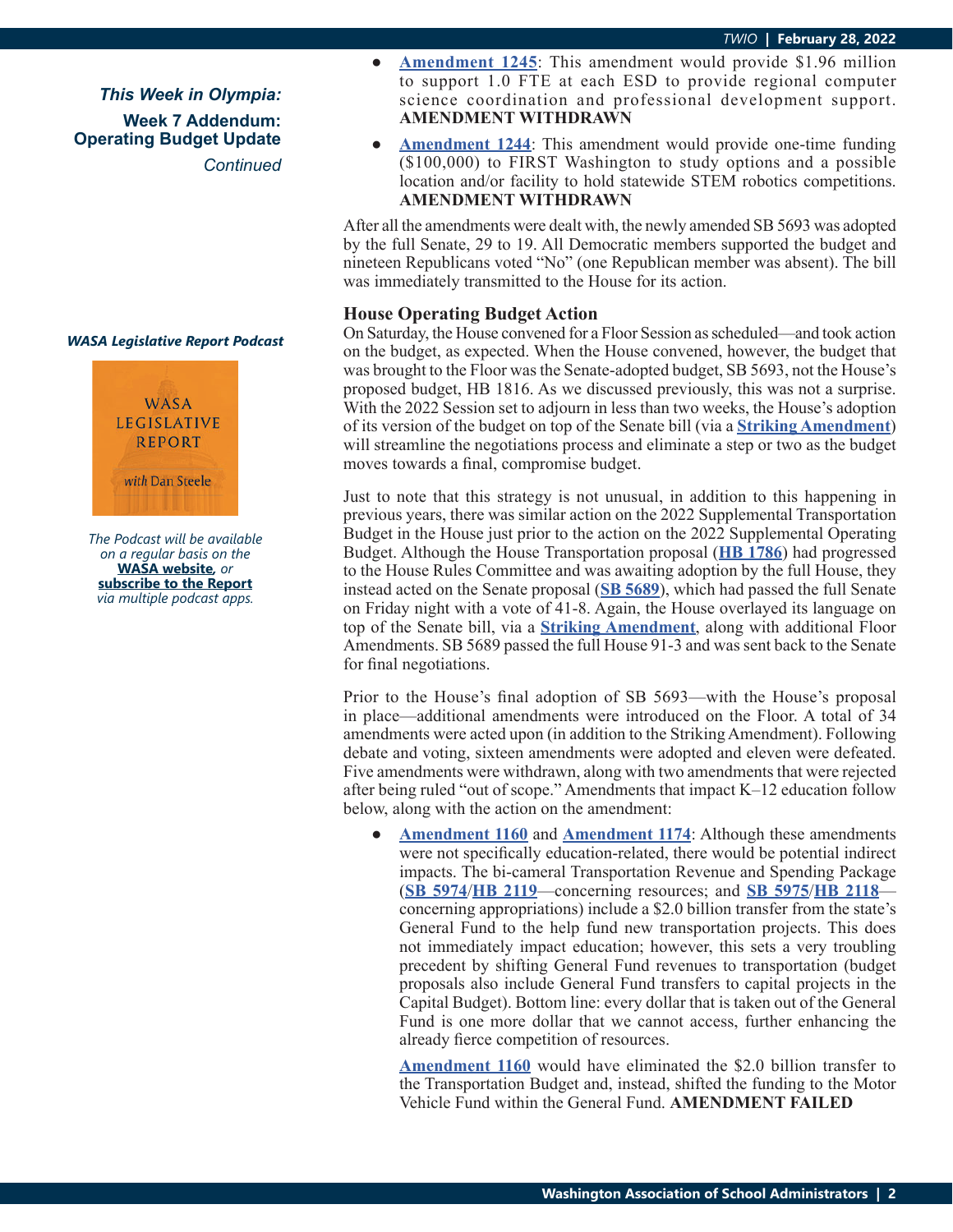*This Week in Olympia:* **Week 7 Addendum: Operating Budget Update** *Continued*





*The Podcast will be available on a regular basis on the*  **WASA website***, or* **subscribe to the Report** *via multiple podcast apps.*

- **● [Amendment 1245](https://lawfilesext.leg.wa.gov/biennium/2021-22/Pdf/Amendments/Senate/5693-S AMS WELL S4960.1.pdf)**: This amendment would provide \$1.96 million to support 1.0 FTE at each ESD to provide regional computer science coordination and professional development support. **AMENDMENT WITHDRAWN**
- **[Amendment 1244](https://lawfilesext.leg.wa.gov/biennium/2021-22/Pdf/Amendments/Senate/5693-S AMS WELL S4961.1.pdf)**: This amendment would provide one-time funding (\$100,000) to FIRST Washington to study options and a possible location and/or facility to hold statewide STEM robotics competitions. **AMENDMENT WITHDRAWN**

After all the amendments were dealt with, the newly amended SB 5693 was adopted by the full Senate, 29 to 19. All Democratic members supported the budget and nineteen Republicans voted "No" (one Republican member was absent). The bill was immediately transmitted to the House for its action.

### **House Operating Budget Action**

On Saturday, the House convened for a Floor Session as scheduled—and took action on the budget, as expected. When the House convened, however, the budget that was brought to the Floor was the Senate-adopted budget, SB 5693, not the House's proposed budget, HB 1816. As we discussed previously, this was not a surprise. With the 2022 Session set to adjourn in less than two weeks, the House's adoption of its version of the budget on top of the Senate bill (via a **[Striking Amendment](https://lawfilesext.leg.wa.gov/biennium/2021-22/Pdf/Amendments/House/5693-S.E AMH ORMS H2871.1.pdf)**) will streamline the negotiations process and eliminate a step or two as the budget moves towards a final, compromise budget.

Just to note that this strategy is not unusual, in addition to this happening in previous years, there was similar action on the 2022 Supplemental Transportation Budget in the House just prior to the action on the 2022 Supplemental Operating Budget. Although the House Transportation proposal (**[HB 1786](https://app.leg.wa.gov/billsummary?BillNumber=1786&Chamber=House&Year=2021)**) had progressed to the House Rules Committee and was awaiting adoption by the full House, they instead acted on the Senate proposal (**[SB 5689](https://app.leg.wa.gov/billsummary?BillNumber=5689&Chamber=Senate&Year=2021)**), which had passed the full Senate on Friday night with a vote of 41-8. Again, the House overlayed its language on top of the Senate bill, via a **[Striking Amendment](https://lawfilesext.leg.wa.gov/biennium/2021-22/Pdf/Amendments/House/5689-S.E AMH FEYJ H2872.2.pdf)**, along with additional Floor Amendments. SB 5689 passed the full House 91-3 and was sent back to the Senate for final negotiations.

Prior to the House's final adoption of SB 5693—with the House's proposal in place—additional amendments were introduced on the Floor. A total of 34 amendments were acted upon (in addition to the Striking Amendment). Following debate and voting, sixteen amendments were adopted and eleven were defeated. Five amendments were withdrawn, along with two amendments that were rejected after being ruled "out of scope." Amendments that impact K–12 education follow below, along with the action on the amendment:

**[Amendment 1160](https://lawfilesext.leg.wa.gov/biennium/2021-22/Pdf/Amendments/House/5693-S.E AMH BARK JOND 317.pdf)** and **[Amendment 1174](https://lawfilesext.leg.wa.gov/biennium/2021-22/Pdf/Amendments/House/5693-S.E AMH BARK JOND 321.pdf)**: Although these amendments were not specifically education-related, there would be potential indirect impacts. The bi-cameral Transportation Revenue and Spending Package (**[SB 5974](http://leap.leg.wa.gov/leap/budget/detail/2022/st2022Supp.asp)**/**[HB 2119](http://leap.leg.wa.gov/leap/budget/detail/2022/ht2022Supp.asp)**—concerning resources; and **[SB 5975](http://leap.leg.wa.gov/leap/budget/detail/2022/st2022Supp.asp)**/**[HB 2118](http://leap.leg.wa.gov/leap/budget/detail/2022/ht2022Supp.asp)** concerning appropriations) include a \$2.0 billion transfer from the state's General Fund to the help fund new transportation projects. This does not immediately impact education; however, this sets a very troubling precedent by shifting General Fund revenues to transportation (budget proposals also include General Fund transfers to capital projects in the Capital Budget). Bottom line: every dollar that is taken out of the General Fund is one more dollar that we cannot access, further enhancing the already fierce competition of resources.

**[Amendment 1160](https://lawfilesext.leg.wa.gov/biennium/2021-22/Pdf/Amendments/House/5693-S.E AMH BARK JOND 317.pdf)** would have eliminated the \$2.0 billion transfer to the Transportation Budget and, instead, shifted the funding to the Motor Vehicle Fund within the General Fund. **AMENDMENT FAILED**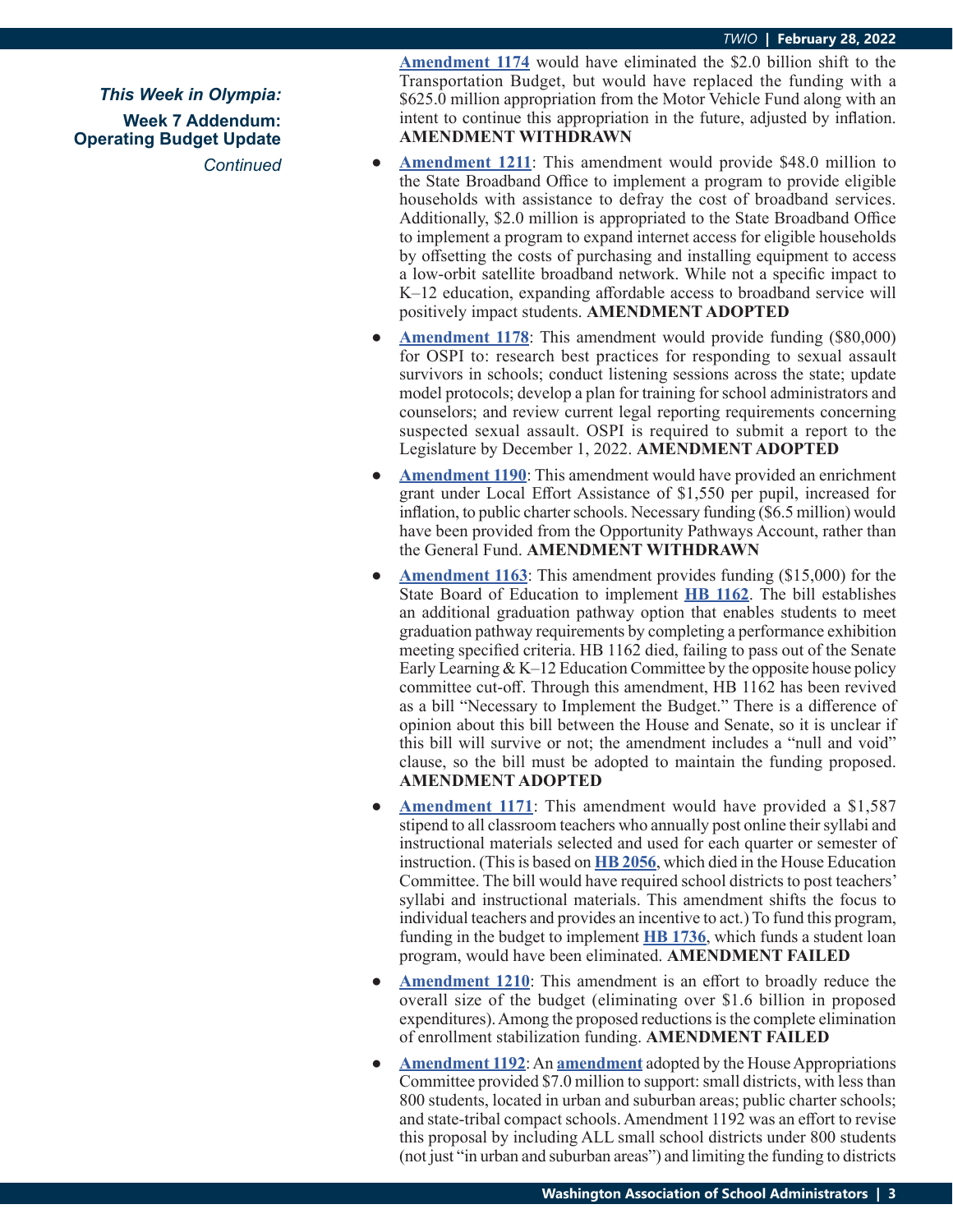*This Week in Olympia:* **Week 7 Addendum: Operating Budget Update** *Continued*

**[Amendment 1174](https://lawfilesext.leg.wa.gov/biennium/2021-22/Pdf/Amendments/House/5693-S.E AMH BARK JOND 321.pdf)** would have eliminated the \$2.0 billion shift to the Transportation Budget, but would have replaced the funding with a \$625.0 million appropriation from the Motor Vehicle Fund along with an intent to continue this appropriation in the future, adjusted by inflation. **AMENDMENT WITHDRAWN**

- **[Amendment 1211](https://lawfilesext.leg.wa.gov/biennium/2021-22/Pdf/Amendments/House/5693-S.E AMH KRET VANJ 097.pdf)**: This amendment would provide \$48.0 million to the State Broadband Office to implement a program to provide eligible households with assistance to defray the cost of broadband services. Additionally, \$2.0 million is appropriated to the State Broadband Office to implement a program to expand internet access for eligible households by offsetting the costs of purchasing and installing equipment to access a low-orbit satellite broadband network. While not a specific impact to K–12 education, expanding affordable access to broadband service will positively impact students. **AMENDMENT ADOPTED**
- **<u>[Amendment 1178](https://lawfilesext.leg.wa.gov/biennium/2021-22/Pdf/Amendments/House/5693-S.E AMH MOSB CLAJ 220.pdf)</u>:** This amendment would provide funding (\$80,000) for OSPI to: research best practices for responding to sexual assault survivors in schools; conduct listening sessions across the state; update model protocols; develop a plan for training for school administrators and counselors; and review current legal reporting requirements concerning suspected sexual assault. OSPI is required to submit a report to the Legislature by December 1, 2022. **AMENDMENT ADOPTED**
- **[Amendment 1190](https://lawfilesext.leg.wa.gov/biennium/2021-22/Pdf/Amendments/House/5693-S.E AMH RUDE MACK 251.pdf):** This amendment would have provided an enrichment grant under Local Effort Assistance of \$1,550 per pupil, increased for inflation, to public charter schools. Necessary funding (\$6.5 million) would have been provided from the Opportunity Pathways Account, rather than the General Fund. **AMENDMENT WITHDRAWN**
- **<u>[Amendment 1163](https://lawfilesext.leg.wa.gov/biennium/2021-22/Pdf/Amendments/House/5693-S.E AMH SANT CLAJ 218.pdf)</u>:** This amendment provides funding (\$15,000) for the State Board of Education to implement **[HB 1162](https://app.leg.wa.gov/billsummary?BillNumber=1162&Initiative=false&Year=2021)**. The bill establishes an additional graduation pathway option that enables students to meet graduation pathway requirements by completing a performance exhibition meeting specified criteria. HB 1162 died, failing to pass out of the Senate Early Learning  $& K-12$  Education Committee by the opposite house policy committee cut-off. Through this amendment, HB 1162 has been revived as a bill "Necessary to Implement the Budget." There is a difference of opinion about this bill between the House and Senate, so it is unclear if this bill will survive or not; the amendment includes a "null and void" clause, so the bill must be adopted to maintain the funding proposed. **AMENDMENT ADOPTED**
- **[Amendment 1171](https://lawfilesext.leg.wa.gov/biennium/2021-22/Pdf/Amendments/House/5693-S.E AMH STEE CLAJ 222.pdf):** This amendment would have provided a \$1,587 stipend to all classroom teachers who annually post online their syllabi and instructional materials selected and used for each quarter or semester of instruction. (This is based on **[HB 2056](https://app.leg.wa.gov/billsummary?BillNumber=2056&Initiative=false&Year=2021)**, which died in the House Education Committee. The bill would have required school districts to post teachers' syllabi and instructional materials. This amendment shifts the focus to individual teachers and provides an incentive to act.) To fund this program, funding in the budget to implement **[HB 1736](https://app.leg.wa.gov/billsummary?BillNumber=1736&Initiative=false&Year=2021)**, which funds a student loan program, would have been eliminated. **AMENDMENT FAILED**
- **[Amendment 1210](https://lawfilesext.leg.wa.gov/biennium/2021-22/Pdf/Amendments/House/5693-S.E AMH STOK FRAS 915.pdf)**: This amendment is an effort to broadly reduce the overall size of the budget (eliminating over \$1.6 billion in proposed expenditures). Among the proposed reductions is the complete elimination of enrollment stabilization funding. **AMENDMENT FAILED**
- [Amendment 1192](https://lawfilesext.leg.wa.gov/biennium/2021-22/Pdf/Amendments/House/5693-S.E AMH STON MACK 253.pdf): An **[amendment](https://app.leg.wa.gov/committeeschedules/Home/Document/244886#toolbar=0&navpanes=0)** adopted by the House Appropriations Committee provided \$7.0 million to support: small districts, with less than 800 students, located in urban and suburban areas; public charter schools; and state-tribal compact schools. Amendment 1192 was an effort to revise this proposal by including ALL small school districts under 800 students (not just "in urban and suburban areas") and limiting the funding to districts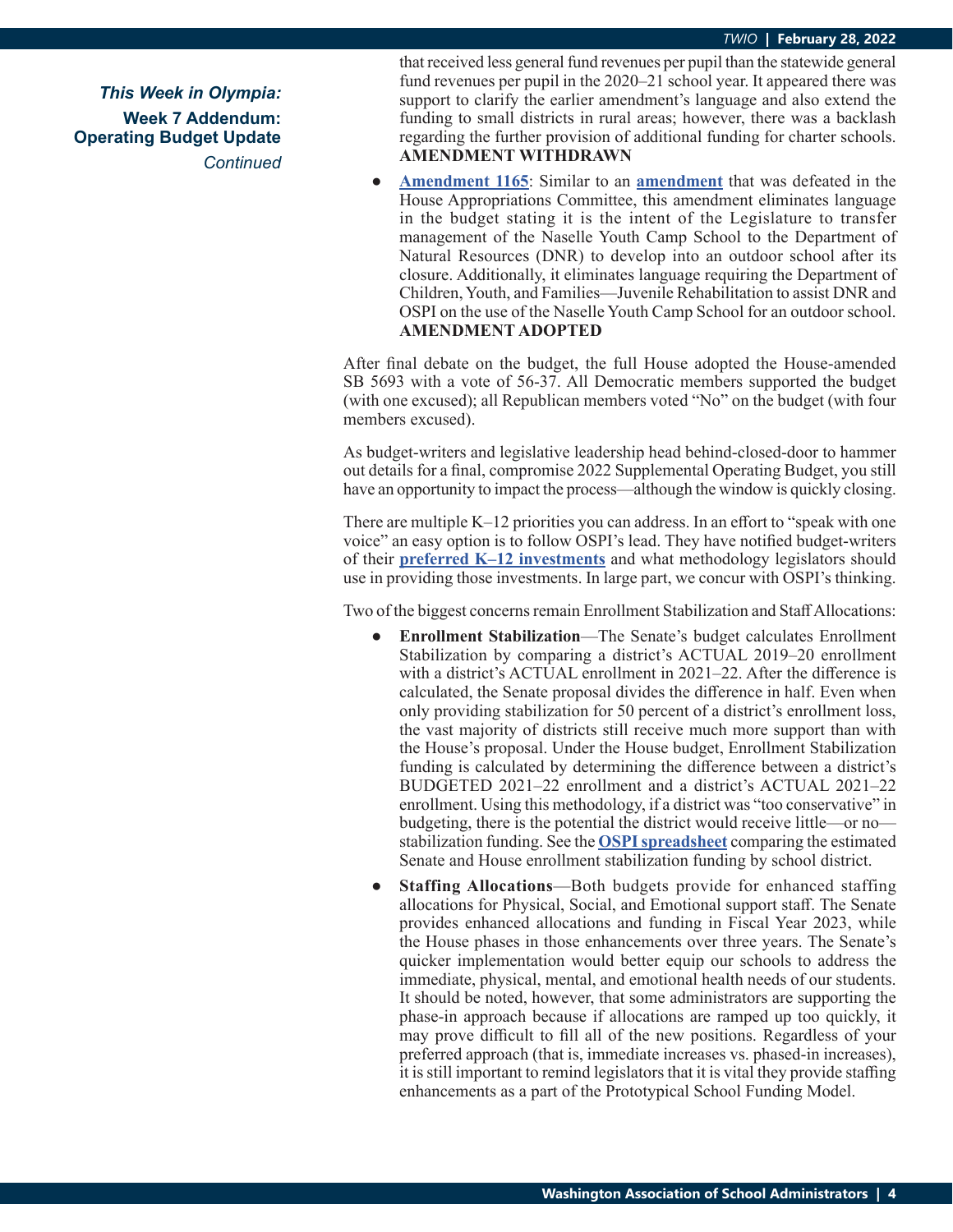*This Week in Olympia:* **Week 7 Addendum: Operating Budget Update** *Continued* that received less general fund revenues per pupil than the statewide general fund revenues per pupil in the 2020–21 school year. It appeared there was support to clarify the earlier amendment's language and also extend the funding to small districts in rural areas; however, there was a backlash regarding the further provision of additional funding for charter schools. **AMENDMENT WITHDRAWN**

**● [Amendment 1165](https://lawfilesext.leg.wa.gov/biennium/2021-22/Pdf/Amendments/House/5693-S.E AMH WALJ WAYV 358.pdf)**: Similar to an **[amendment](https://app.leg.wa.gov/committeeschedules/Home/Document/244874#toolbar=0&navpanes=0)** that was defeated in the House Appropriations Committee, this amendment eliminates language in the budget stating it is the intent of the Legislature to transfer management of the Naselle Youth Camp School to the Department of Natural Resources (DNR) to develop into an outdoor school after its closure. Additionally, it eliminates language requiring the Department of Children, Youth, and Families—Juvenile Rehabilitation to assist DNR and OSPI on the use of the Naselle Youth Camp School for an outdoor school. **AMENDMENT ADOPTED**

After final debate on the budget, the full House adopted the House-amended SB 5693 with a vote of 56-37. All Democratic members supported the budget (with one excused); all Republican members voted "No" on the budget (with four members excused).

As budget-writers and legislative leadership head behind-closed-door to hammer out details for a final, compromise 2022 Supplemental Operating Budget, you still have an opportunity to impact the process—although the window is quickly closing.

There are multiple K–12 priorities you can address. In an effort to "speak with one voice" an easy option is to follow OSPI's lead. They have notified budget-writers of their **[preferred K–12 investments](https://wasa-oly.org/WASA/images/WASA/4.0%20Government%20Relations/4.4.1%20This%20Week%20In%20Olympia%20-%20TWIO/Download_Files/TWIO%202022/2022OSPIBudgetRecs.pdf)** and what methodology legislators should use in providing those investments. In large part, we concur with OSPI's thinking.

Two of the biggest concerns remain Enrollment Stabilization and Staff Allocations:

- **● Enrollment Stabilization**—The Senate's budget calculates Enrollment Stabilization by comparing a district's ACTUAL 2019–20 enrollment with a district's ACTUAL enrollment in 2021–22. After the difference is calculated, the Senate proposal divides the difference in half. Even when only providing stabilization for 50 percent of a district's enrollment loss, the vast majority of districts still receive much more support than with the House's proposal. Under the House budget, Enrollment Stabilization funding is calculated by determining the difference between a district's BUDGETED 2021–22 enrollment and a district's ACTUAL 2021–22 enrollment. Using this methodology, if a district was "too conservative" in budgeting, there is the potential the district would receive little—or no stabilization funding. See the **[OSPI spreadsheet](https://wasa-oly.org/WASA/images/WASA/4.0%20Government%20Relations/4.4.1%20This%20Week%20In%20Olympia%20-%20TWIO/Download_Files/TWIO%202022/Enrollment%20stabilization%20by%20SD%202-28-22.pdf)** comparing the estimated Senate and House enrollment stabilization funding by school district.
- **Staffing Allocations—Both budgets provide for enhanced staffing** allocations for Physical, Social, and Emotional support staff. The Senate provides enhanced allocations and funding in Fiscal Year 2023, while the House phases in those enhancements over three years. The Senate's quicker implementation would better equip our schools to address the immediate, physical, mental, and emotional health needs of our students. It should be noted, however, that some administrators are supporting the phase-in approach because if allocations are ramped up too quickly, it may prove difficult to fill all of the new positions. Regardless of your preferred approach (that is, immediate increases vs. phased-in increases), it is still important to remind legislators that it is vital they provide staffing enhancements as a part of the Prototypical School Funding Model.